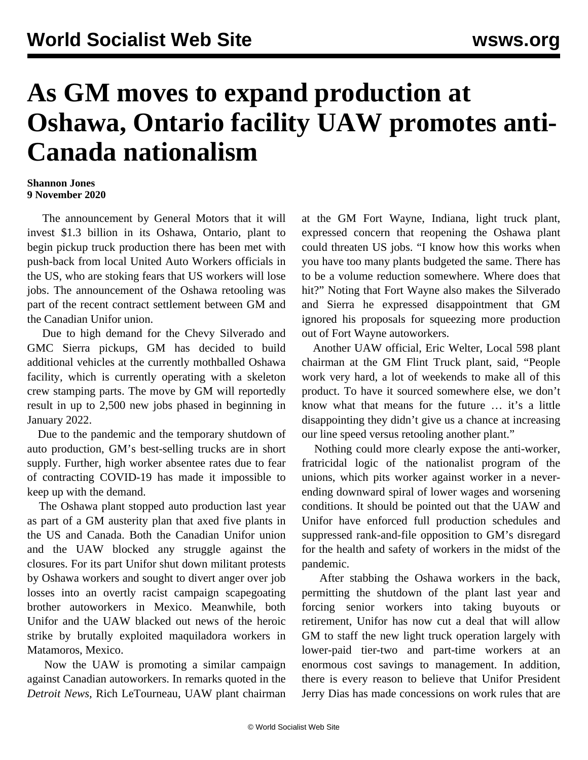## **As GM moves to expand production at Oshawa, Ontario facility UAW promotes anti-Canada nationalism**

## **Shannon Jones 9 November 2020**

 The announcement by General Motors that it will invest \$1.3 billion in its Oshawa, Ontario, plant to begin pickup truck production there has been met with push-back from local United Auto Workers officials in the US, who are stoking fears that US workers will lose jobs. The announcement of the Oshawa retooling was part of the recent contract settlement between GM and the Canadian Unifor union.

 Due to high demand for the Chevy Silverado and GMC Sierra pickups, GM has decided to build additional vehicles at the currently mothballed Oshawa facility, which is currently operating with a skeleton crew stamping parts. The move by GM will reportedly result in up to 2,500 new jobs phased in beginning in January 2022.

 Due to the pandemic and the temporary shutdown of auto production, GM's best-selling trucks are in short supply. Further, high worker absentee rates due to fear of contracting COVID-19 has made it impossible to keep up with the demand.

 The Oshawa plant stopped auto production last year as part of a GM austerity plan that axed five plants in the US and Canada. Both the Canadian Unifor union and the UAW blocked any struggle against the closures. For its part Unifor shut down militant protests by Oshawa workers and sought to divert anger over job losses into an overtly [racist campaign](/en/articles/2019/01/12/auto-j12.html) scapegoating brother autoworkers in Mexico. Meanwhile, both Unifor and the UAW blacked out news of the heroic [strike](/en/articles/2019/01/21/pers-j21.html) by brutally exploited maquiladora workers in Matamoros, Mexico.

 Now the UAW is promoting a similar campaign against Canadian autoworkers. In remarks quoted in the *Detroit News,* Rich LeTourneau, UAW plant chairman at the GM Fort Wayne, Indiana, light truck plant, expressed concern that reopening the Oshawa plant could threaten US jobs. "I know how this works when you have too many plants budgeted the same. There has to be a volume reduction somewhere. Where does that hit?" Noting that Fort Wayne also makes the Silverado and Sierra he expressed disappointment that GM ignored his proposals for squeezing more production out of Fort Wayne autoworkers.

 Another UAW official, Eric Welter, Local 598 plant chairman at the GM Flint Truck plant, said, "People work very hard, a lot of weekends to make all of this product. To have it sourced somewhere else, we don't know what that means for the future … it's a little disappointing they didn't give us a chance at increasing our line speed versus retooling another plant."

 Nothing could more clearly expose the anti-worker, fratricidal logic of the nationalist program of the unions, which pits worker against worker in a neverending downward spiral of lower wages and worsening conditions. It should be pointed out that the UAW and Unifor have enforced full production schedules and suppressed rank-and-file opposition to GM's disregard for the health and safety of workers in the midst of the pandemic.

 After stabbing the Oshawa workers in the back, permitting the shutdown of the plant last year and forcing senior workers into taking buyouts or retirement, Unifor has now cut a deal that will allow GM to staff the new light truck operation largely with lower-paid tier-two and part-time workers at an enormous cost savings to management. In addition, there is every reason to believe that Unifor President Jerry Dias has made concessions on work rules that are